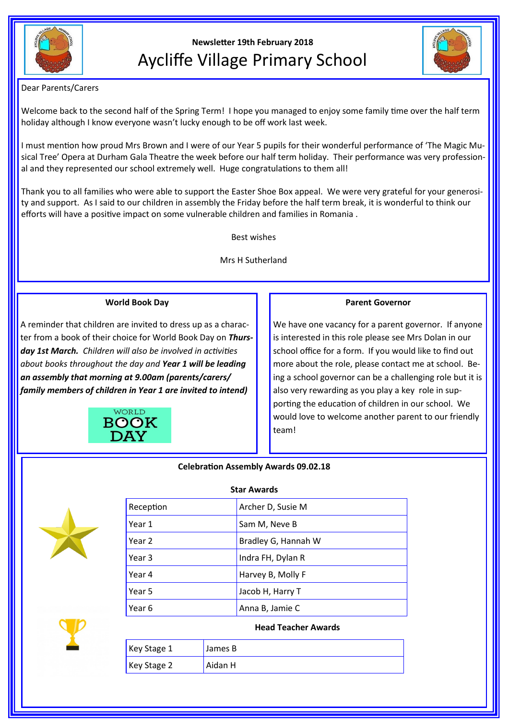

# **Newsletter 19th February 2018** Aycliffe Village Primary School



Dear Parents/Carers

Welcome back to the second half of the Spring Term! I hope you managed to enjoy some family time over the half term holiday although I know everyone wasn't lucky enough to be off work last week.

I must mention how proud Mrs Brown and I were of our Year 5 pupils for their wonderful performance of 'The Magic Musical Tree' Opera at Durham Gala Theatre the week before our half term holiday. Their performance was very professional and they represented our school extremely well. Huge congratulations to them all!

Thank you to all families who were able to support the Easter Shoe Box appeal. We were very grateful for your generosity and support. As I said to our children in assembly the Friday before the half term break, it is wonderful to think our efforts will have a positive impact on some vulnerable children and families in Romania .

Best wishes

Mrs H Sutherland

## **World Book Day**

A reminder that children are invited to dress up as a character from a book of their choice for World Book Day on *Thursday 1st March. Children will also be involved in activities about books throughout the day and Year 1 will be leading an assembly that morning at 9.00am (parents/carers/ family members of children in Year 1 are invited to intend)*



### **Parent Governor**

We have one vacancy for a parent governor. If anyone is interested in this role please see Mrs Dolan in our school office for a form. If you would like to find out more about the role, please contact me at school. Being a school governor can be a challenging role but it is also very rewarding as you play a key role in supporting the education of children in our school. We would love to welcome another parent to our friendly team!

#### **Celebration Assembly Awards 09.02.18**

**Star Awards**



| Reception | Archer D, Susie M   |
|-----------|---------------------|
| Year 1    | Sam M, Neve B       |
| Year 2    | Bradley G, Hannah W |
| Year 3    | Indra FH, Dylan R   |
| Year 4    | Harvey B, Molly F   |
| Year 5    | Jacob H, Harry T    |
| Year 6    | Anna B, Jamie C     |



| Key Stage 1 | James B |
|-------------|---------|
| Key Stage 2 | Aidan H |